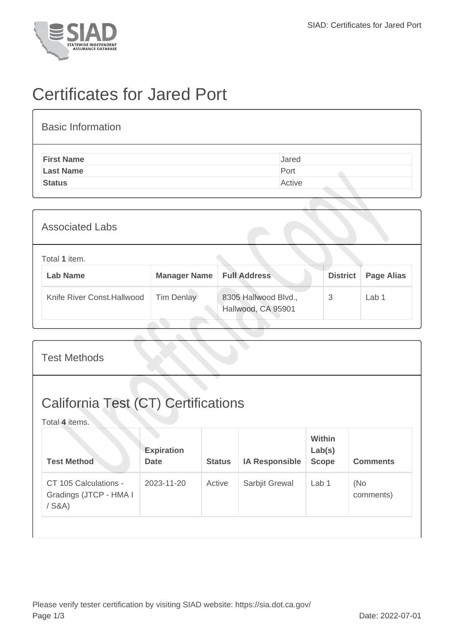

## Certificates for Jared Port

## Basic Information **First Name** Jared Last Name **Port**

**Status** Active

| <b>Associated Labs</b>           |                     |                                            |                 |                   |
|----------------------------------|---------------------|--------------------------------------------|-----------------|-------------------|
| Total 1 item.<br><b>Lab Name</b> | <b>Manager Name</b> | <b>Full Address</b>                        | <b>District</b> | <b>Page Alias</b> |
| Knife River Const. Hallwood      | <b>Tim Denlay</b>   | 8305 Hallwood Blvd.,<br>Hallwood, CA 95901 | 3               | Lab 1             |

| <b>Test Methods</b>                                          |                                  |               |                       |                                         |                  |  |
|--------------------------------------------------------------|----------------------------------|---------------|-----------------------|-----------------------------------------|------------------|--|
| <b>California Test (CT) Certifications</b><br>Total 4 items. |                                  |               |                       |                                         |                  |  |
| <b>Test Method</b>                                           | <b>Expiration</b><br><b>Date</b> | <b>Status</b> | <b>IA Responsible</b> | <b>Within</b><br>Lab(s)<br><b>Scope</b> | <b>Comments</b>  |  |
| CT 105 Calculations -<br>Gradings (JTCP - HMA I<br>$/$ S&A)  | 2023-11-20                       | Active        | Sarbjit Grewal        | Lab <sub>1</sub>                        | (No<br>comments) |  |
|                                                              |                                  |               |                       |                                         |                  |  |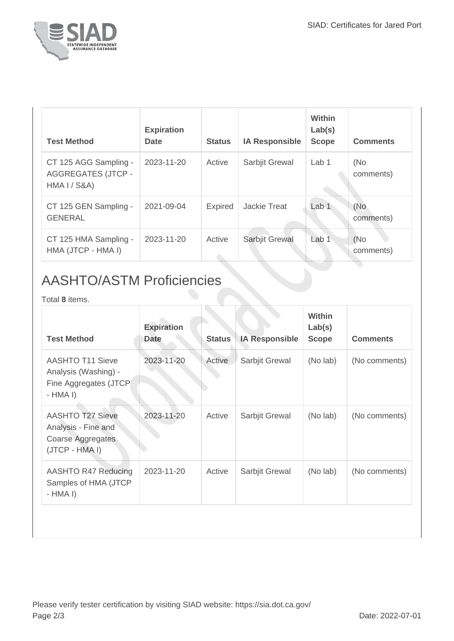

| <b>Test Method</b>                                                 | <b>Expiration</b><br><b>Date</b> | <b>Status</b>  | <b>IA Responsible</b> | Within<br>Lab(s)<br><b>Scope</b> | <b>Comments</b>   |
|--------------------------------------------------------------------|----------------------------------|----------------|-----------------------|----------------------------------|-------------------|
| CT 125 AGG Sampling -<br><b>AGGREGATES (JTCP -</b><br>HMA I / S8A) | 2023-11-20                       | Active         | Sarbjit Grewal        | Lab <sub>1</sub>                 | (No<br>comments)  |
| CT 125 GEN Sampling -<br><b>GENERAL</b>                            | 2021-09-04                       | <b>Expired</b> | <b>Jackie Treat</b>   | Lab 1                            | (No<br>comments)  |
| CT 125 HMA Sampling -<br>HMA (JTCP - HMA I)                        | 2023-11-20                       | Active         | Sarbjit Grewal        | Lab 1                            | (No)<br>comments) |

## AASHTO/ASTM Proficiencies

Total **8** items.

| <b>Test Method</b>                                                                    | <b>Expiration</b><br><b>Date</b> | <b>Status</b> | <b>IA Responsible</b> | <b>Within</b><br>Lab(s)<br><b>Scope</b> | <b>Comments</b> |
|---------------------------------------------------------------------------------------|----------------------------------|---------------|-----------------------|-----------------------------------------|-----------------|
| <b>AASHTO T11 Sieve</b><br>Analysis (Washing) -<br>Fine Aggregates (JTCP<br>$-HMA I)$ | 2023-11-20                       | Active        | Sarbjit Grewal        | (No lab)                                | (No comments)   |
| <b>AASHTO T27 Sieve</b><br>Analysis - Fine and<br>Coarse Aggregates<br>(JTCP - HMA I) | 2023-11-20                       | Active        | Sarbjit Grewal        | (No lab)                                | (No comments)   |
| AASHTO R47 Reducing<br>Samples of HMA (JTCP<br>$-HMA I)$                              | 2023-11-20                       | Active        | Sarbjit Grewal        | (No lab)                                | (No comments)   |
|                                                                                       |                                  |               |                       |                                         |                 |